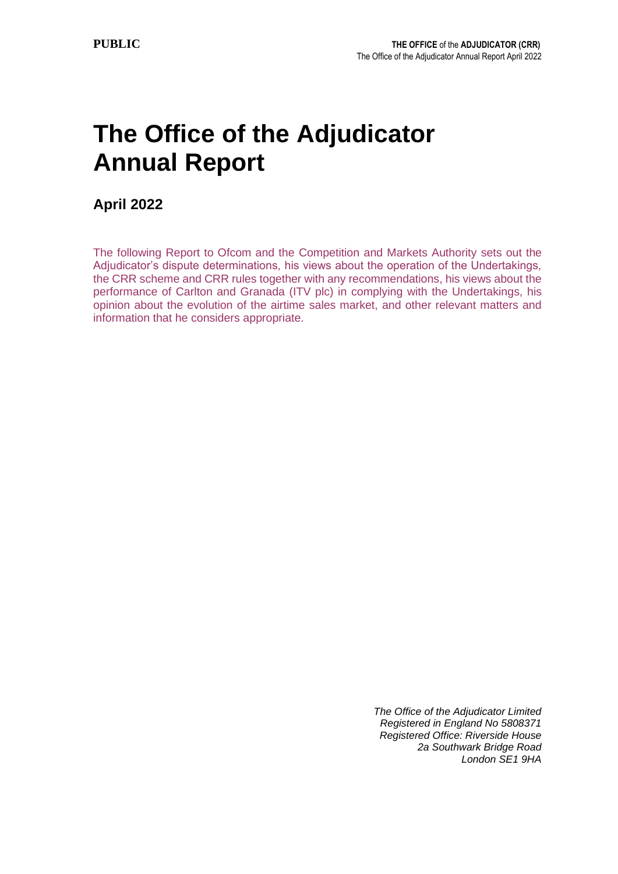# **The Office of the Adjudicator Annual Report**

**April 2022**

The following Report to Ofcom and the Competition and Markets Authority sets out the Adjudicator's dispute determinations, his views about the operation of the Undertakings, the CRR scheme and CRR rules together with any recommendations, his views about the performance of Carlton and Granada (ITV plc) in complying with the Undertakings, his opinion about the evolution of the airtime sales market, and other relevant matters and information that he considers appropriate.

> *The Office of the Adjudicator Limited Registered in England No 5808371 Registered Office: Riverside House 2a Southwark Bridge Road London SE1 9HA*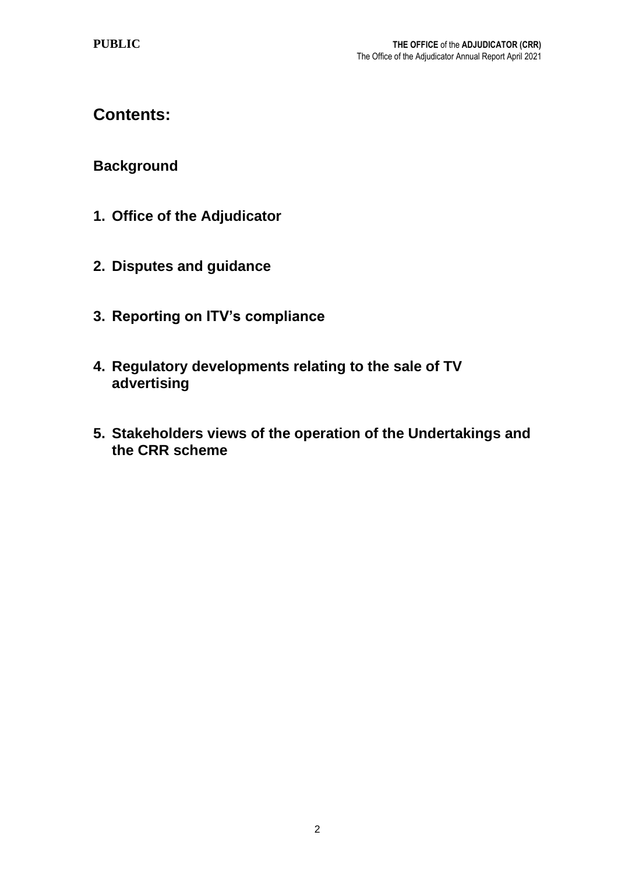# **Contents:**

# **Background**

- **1. Office of the Adjudicator**
- **2. Disputes and guidance**
- **3. Reporting on ITV's compliance**
- **4. Regulatory developments relating to the sale of TV advertising**
- **5. Stakeholders views of the operation of the Undertakings and the CRR scheme**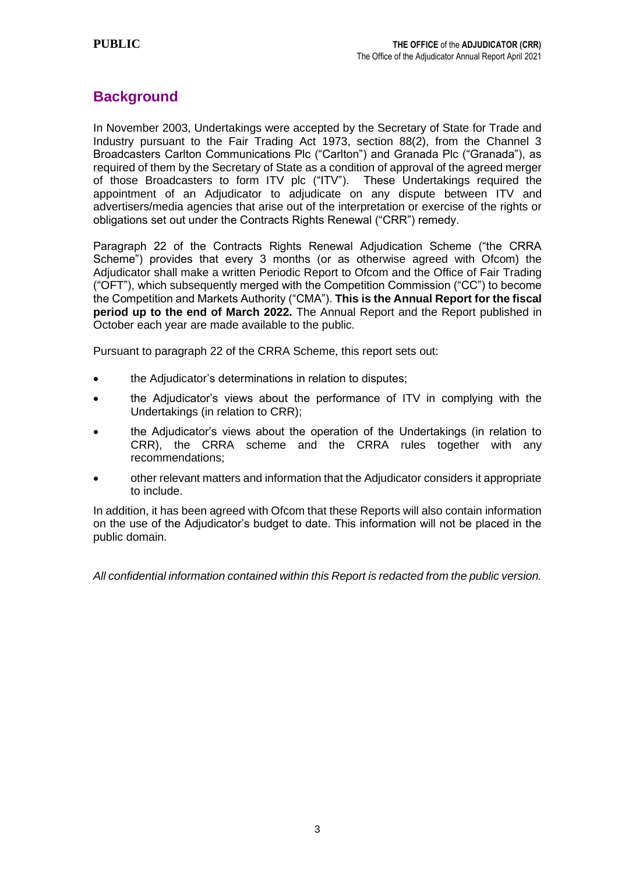## **Background**

In November 2003, Undertakings were accepted by the Secretary of State for Trade and Industry pursuant to the Fair Trading Act 1973, section 88(2), from the Channel 3 Broadcasters Carlton Communications Plc ("Carlton") and Granada Plc ("Granada"), as required of them by the Secretary of State as a condition of approval of the agreed merger of those Broadcasters to form ITV plc ("ITV"). These Undertakings required the appointment of an Adjudicator to adjudicate on any dispute between ITV and advertisers/media agencies that arise out of the interpretation or exercise of the rights or obligations set out under the Contracts Rights Renewal ("CRR") remedy.

Paragraph 22 of the Contracts Rights Renewal Adjudication Scheme ("the CRRA Scheme") provides that every 3 months (or as otherwise agreed with Ofcom) the Adjudicator shall make a written Periodic Report to Ofcom and the Office of Fair Trading ("OFT"), which subsequently merged with the Competition Commission ("CC") to become the Competition and Markets Authority ("CMA"). **This is the Annual Report for the fiscal period up to the end of March 2022.** The Annual Report and the Report published in October each year are made available to the public.

Pursuant to paragraph 22 of the CRRA Scheme, this report sets out:

- the Adjudicator's determinations in relation to disputes;
- the Adjudicator's views about the performance of ITV in complying with the Undertakings (in relation to CRR);
- the Adjudicator's views about the operation of the Undertakings (in relation to CRR), the CRRA scheme and the CRRA rules together with any recommendations;
- other relevant matters and information that the Adjudicator considers it appropriate to include.

In addition, it has been agreed with Ofcom that these Reports will also contain information on the use of the Adjudicator's budget to date. This information will not be placed in the public domain.

*All confidential information contained within this Report is redacted from the public version.*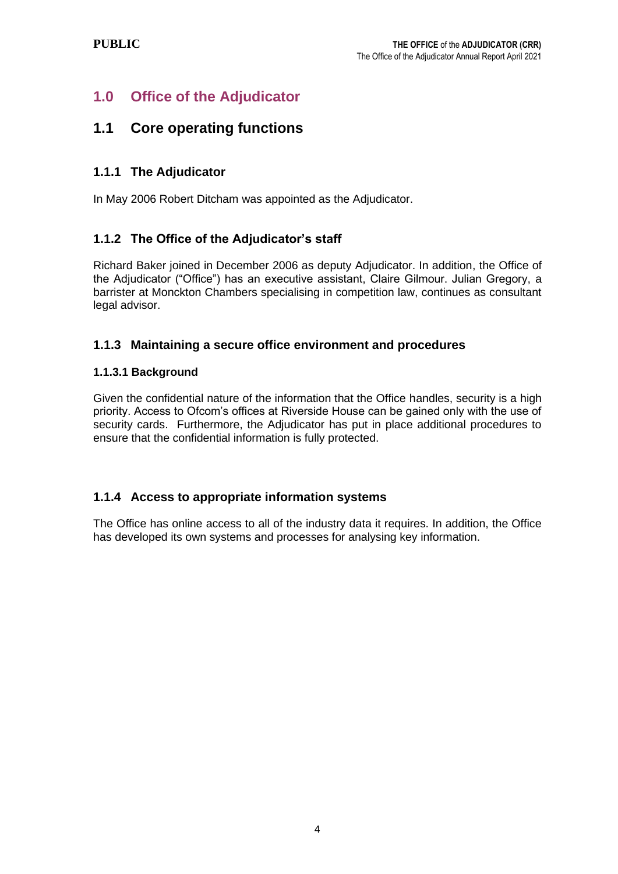# **1.0 Office of the Adjudicator**

## **1.1 Core operating functions**

## **1.1.1 The Adjudicator**

In May 2006 Robert Ditcham was appointed as the Adjudicator.

## **1.1.2 The Office of the Adjudicator's staff**

Richard Baker joined in December 2006 as deputy Adjudicator. In addition, the Office of the Adjudicator ("Office") has an executive assistant, Claire Gilmour. Julian Gregory, a barrister at Monckton Chambers specialising in competition law, continues as consultant legal advisor.

### **1.1.3 Maintaining a secure office environment and procedures**

#### **1.1.3.1 Background**

Given the confidential nature of the information that the Office handles, security is a high priority. Access to Ofcom's offices at Riverside House can be gained only with the use of security cards. Furthermore, the Adjudicator has put in place additional procedures to ensure that the confidential information is fully protected.

## **1.1.4 Access to appropriate information systems**

The Office has online access to all of the industry data it requires. In addition, the Office has developed its own systems and processes for analysing key information.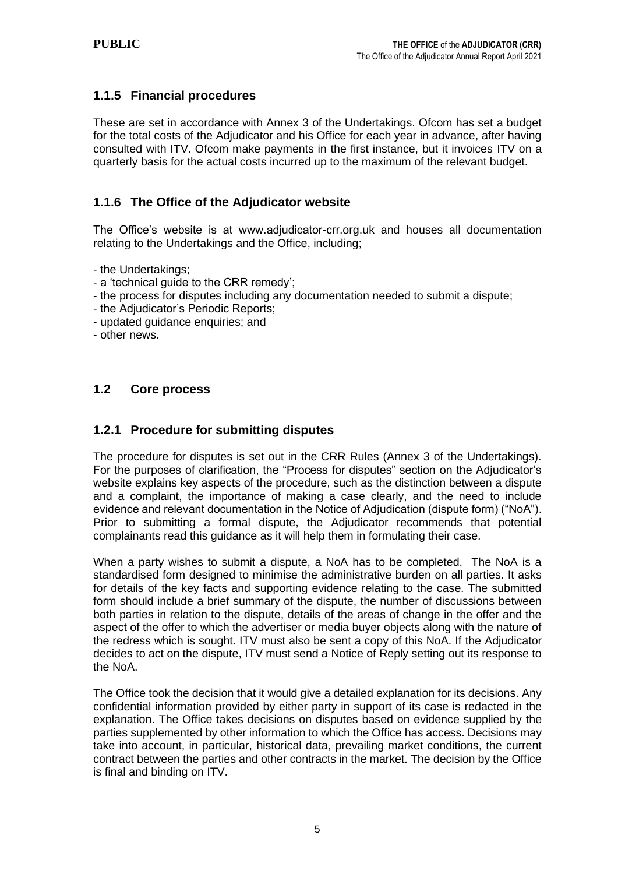### **1.1.5 Financial procedures**

These are set in accordance with Annex 3 of the Undertakings. Ofcom has set a budget for the total costs of the Adjudicator and his Office for each year in advance, after having consulted with ITV. Ofcom make payments in the first instance, but it invoices ITV on a quarterly basis for the actual costs incurred up to the maximum of the relevant budget.

#### **1.1.6 The Office of the Adjudicator website**

The Office's website is at www.adjudicator-crr.org.uk and houses all documentation relating to the Undertakings and the Office, including;

- the Undertakings;
- a 'technical guide to the CRR remedy';
- the process for disputes including any documentation needed to submit a dispute;
- the Adjudicator's Periodic Reports;
- updated guidance enquiries; and
- other news.

### **1.2 Core process**

#### **1.2.1 Procedure for submitting disputes**

The procedure for disputes is set out in the CRR Rules (Annex 3 of the Undertakings). For the purposes of clarification, the "Process for disputes" section on the Adjudicator's website explains key aspects of the procedure, such as the distinction between a dispute and a complaint, the importance of making a case clearly, and the need to include evidence and relevant documentation in the Notice of Adjudication (dispute form) ("NoA"). Prior to submitting a formal dispute, the Adjudicator recommends that potential complainants read this guidance as it will help them in formulating their case.

When a party wishes to submit a dispute, a NoA has to be completed. The NoA is a standardised form designed to minimise the administrative burden on all parties. It asks for details of the key facts and supporting evidence relating to the case. The submitted form should include a brief summary of the dispute, the number of discussions between both parties in relation to the dispute, details of the areas of change in the offer and the aspect of the offer to which the advertiser or media buyer objects along with the nature of the redress which is sought. ITV must also be sent a copy of this NoA. If the Adjudicator decides to act on the dispute, ITV must send a Notice of Reply setting out its response to the NoA.

The Office took the decision that it would give a detailed explanation for its decisions. Any confidential information provided by either party in support of its case is redacted in the explanation. The Office takes decisions on disputes based on evidence supplied by the parties supplemented by other information to which the Office has access. Decisions may take into account, in particular, historical data, prevailing market conditions, the current contract between the parties and other contracts in the market. The decision by the Office is final and binding on ITV.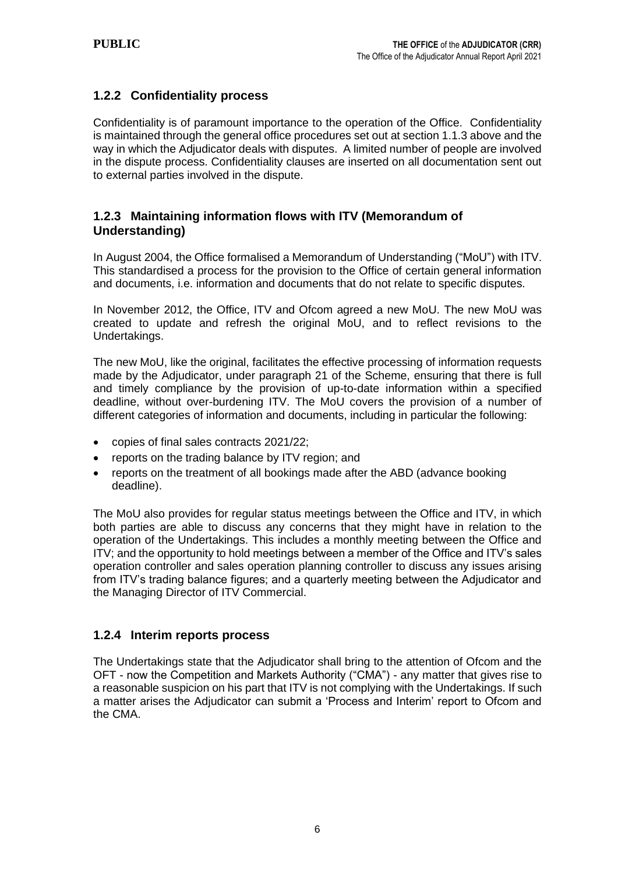## **1.2.2 Confidentiality process**

Confidentiality is of paramount importance to the operation of the Office. Confidentiality is maintained through the general office procedures set out at section 1.1.3 above and the way in which the Adjudicator deals with disputes. A limited number of people are involved in the dispute process. Confidentiality clauses are inserted on all documentation sent out to external parties involved in the dispute.

### **1.2.3 Maintaining information flows with ITV (Memorandum of Understanding)**

In August 2004, the Office formalised a Memorandum of Understanding ("MoU") with ITV. This standardised a process for the provision to the Office of certain general information and documents, i.e. information and documents that do not relate to specific disputes.

In November 2012, the Office, ITV and Ofcom agreed a new MoU. The new MoU was created to update and refresh the original MoU, and to reflect revisions to the Undertakings.

The new MoU, like the original, facilitates the effective processing of information requests made by the Adjudicator, under paragraph 21 of the Scheme, ensuring that there is full and timely compliance by the provision of up-to-date information within a specified deadline, without over-burdening ITV. The MoU covers the provision of a number of different categories of information and documents, including in particular the following:

- copies of final sales contracts 2021/22;
- reports on the trading balance by ITV region; and
- reports on the treatment of all bookings made after the ABD (advance booking deadline).

The MoU also provides for regular status meetings between the Office and ITV, in which both parties are able to discuss any concerns that they might have in relation to the operation of the Undertakings. This includes a monthly meeting between the Office and ITV; and the opportunity to hold meetings between a member of the Office and ITV's sales operation controller and sales operation planning controller to discuss any issues arising from ITV's trading balance figures; and a quarterly meeting between the Adjudicator and the Managing Director of ITV Commercial.

#### **1.2.4 Interim reports process**

The Undertakings state that the Adjudicator shall bring to the attention of Ofcom and the OFT - now the Competition and Markets Authority ("CMA") - any matter that gives rise to a reasonable suspicion on his part that ITV is not complying with the Undertakings. If such a matter arises the Adjudicator can submit a 'Process and Interim' report to Ofcom and the CMA.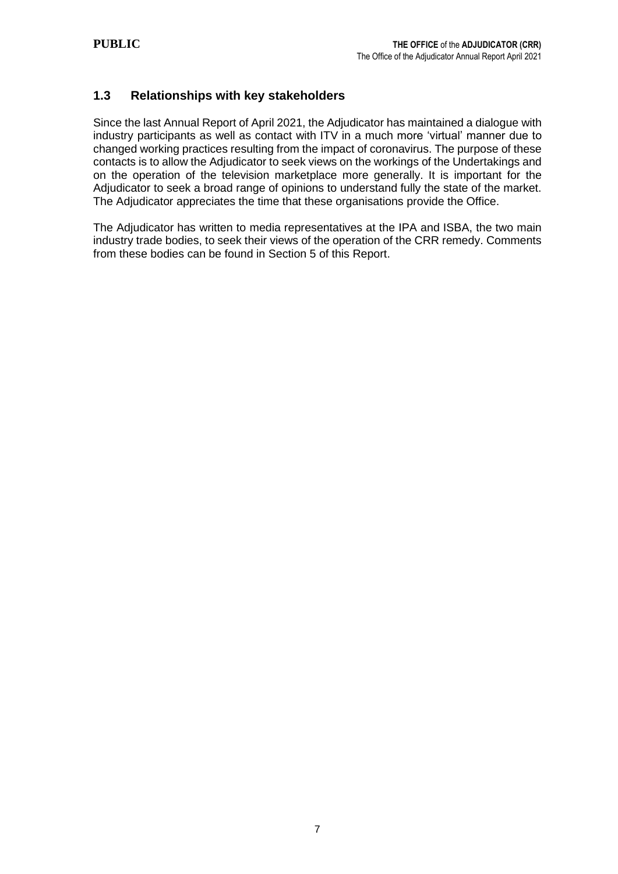#### **1.3 Relationships with key stakeholders**

Since the last Annual Report of April 2021, the Adjudicator has maintained a dialogue with industry participants as well as contact with ITV in a much more 'virtual' manner due to changed working practices resulting from the impact of coronavirus. The purpose of these contacts is to allow the Adjudicator to seek views on the workings of the Undertakings and on the operation of the television marketplace more generally. It is important for the Adjudicator to seek a broad range of opinions to understand fully the state of the market. The Adjudicator appreciates the time that these organisations provide the Office.

The Adjudicator has written to media representatives at the IPA and ISBA, the two main industry trade bodies, to seek their views of the operation of the CRR remedy. Comments from these bodies can be found in Section 5 of this Report.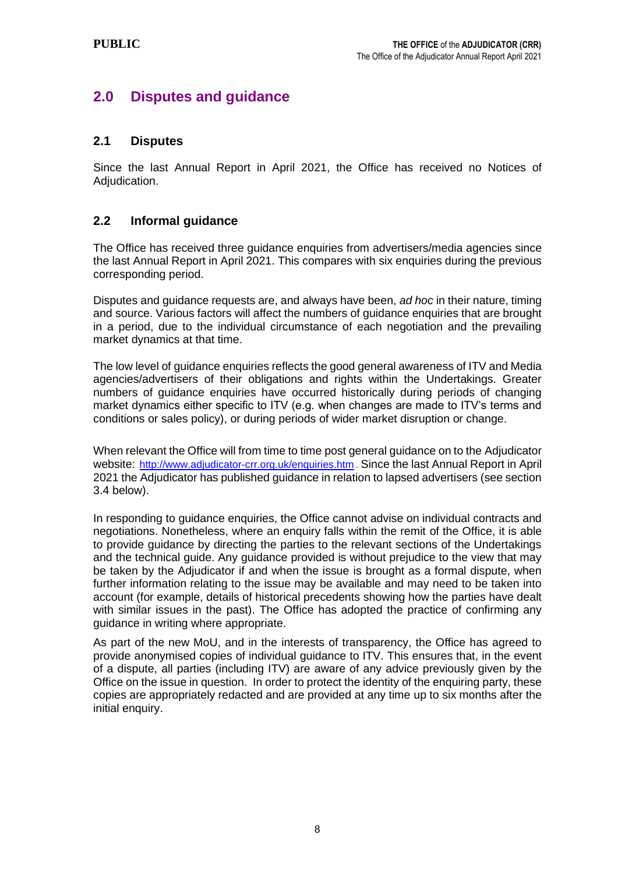## **2.0 Disputes and guidance**

#### **2.1 Disputes**

Since the last Annual Report in April 2021, the Office has received no Notices of Adjudication.

#### **2.2 Informal guidance**

The Office has received three guidance enquiries from advertisers/media agencies since the last Annual Report in April 2021. This compares with six enquiries during the previous corresponding period.

Disputes and guidance requests are, and always have been, *ad hoc* in their nature, timing and source. Various factors will affect the numbers of guidance enquiries that are brought in a period, due to the individual circumstance of each negotiation and the prevailing market dynamics at that time.

The low level of guidance enquiries reflects the good general awareness of ITV and Media agencies/advertisers of their obligations and rights within the Undertakings. Greater numbers of guidance enquiries have occurred historically during periods of changing market dynamics either specific to ITV (e.g. when changes are made to ITV's terms and conditions or sales policy), or during periods of wider market disruption or change.

When relevant the Office will from time to time post general guidance on to the Adjudicator website: <http://www.adjudicator-crr.org.uk/enquiries.htm>. Since the last Annual Report in April 2021 the Adjudicator has published guidance in relation to lapsed advertisers (see section 3.4 below).

In responding to guidance enquiries, the Office cannot advise on individual contracts and negotiations. Nonetheless, where an enquiry falls within the remit of the Office, it is able to provide guidance by directing the parties to the relevant sections of the Undertakings and the technical guide. Any guidance provided is without prejudice to the view that may be taken by the Adjudicator if and when the issue is brought as a formal dispute, when further information relating to the issue may be available and may need to be taken into account (for example, details of historical precedents showing how the parties have dealt with similar issues in the past). The Office has adopted the practice of confirming any guidance in writing where appropriate.

As part of the new MoU, and in the interests of transparency, the Office has agreed to provide anonymised copies of individual guidance to ITV. This ensures that, in the event of a dispute, all parties (including ITV) are aware of any advice previously given by the Office on the issue in question. In order to protect the identity of the enquiring party, these copies are appropriately redacted and are provided at any time up to six months after the initial enquiry.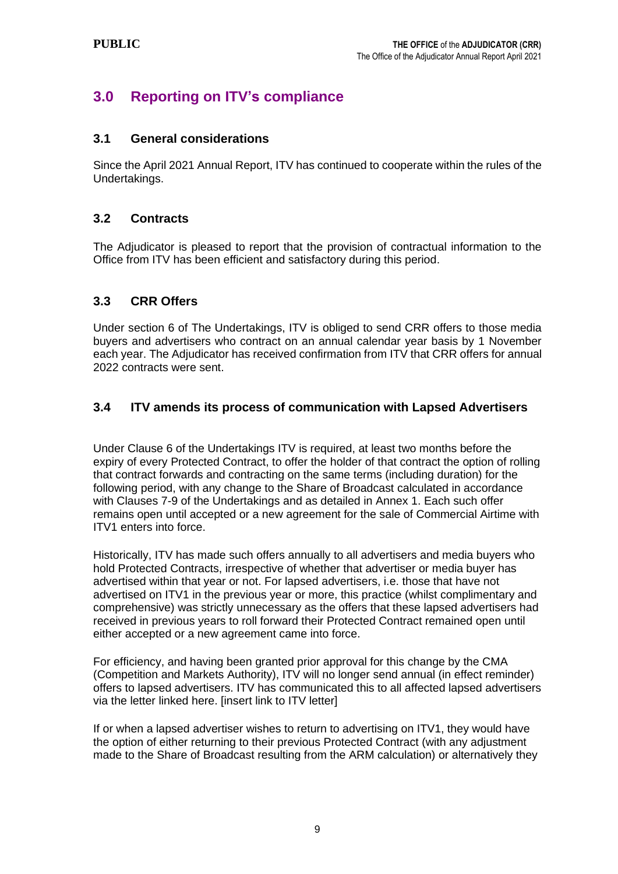# **3.0 Reporting on ITV's compliance**

#### **3.1 General considerations**

Since the April 2021 Annual Report, ITV has continued to cooperate within the rules of the Undertakings.

#### **3.2 Contracts**

The Adjudicator is pleased to report that the provision of contractual information to the Office from ITV has been efficient and satisfactory during this period.

#### **3.3 CRR Offers**

Under section 6 of The Undertakings, ITV is obliged to send CRR offers to those media buyers and advertisers who contract on an annual calendar year basis by 1 November each year. The Adjudicator has received confirmation from ITV that CRR offers for annual 2022 contracts were sent.

### **3.4 ITV amends its process of communication with Lapsed Advertisers**

Under Clause 6 of the Undertakings ITV is required, at least two months before the expiry of every Protected Contract, to offer the holder of that contract the option of rolling that contract forwards and contracting on the same terms (including duration) for the following period, with any change to the Share of Broadcast calculated in accordance with Clauses 7-9 of the Undertakings and as detailed in Annex 1. Each such offer remains open until accepted or a new agreement for the sale of Commercial Airtime with ITV1 enters into force.

Historically, ITV has made such offers annually to all advertisers and media buyers who hold Protected Contracts, irrespective of whether that advertiser or media buyer has advertised within that year or not. For lapsed advertisers, i.e. those that have not advertised on ITV1 in the previous year or more, this practice (whilst complimentary and comprehensive) was strictly unnecessary as the offers that these lapsed advertisers had received in previous years to roll forward their Protected Contract remained open until either accepted or a new agreement came into force.

For efficiency, and having been granted prior approval for this change by the CMA (Competition and Markets Authority), ITV will no longer send annual (in effect reminder) offers to lapsed advertisers. ITV has communicated this to all affected lapsed advertisers via the letter linked here. [insert link to ITV letter]

If or when a lapsed advertiser wishes to return to advertising on ITV1, they would have the option of either returning to their previous Protected Contract (with any adjustment made to the Share of Broadcast resulting from the ARM calculation) or alternatively they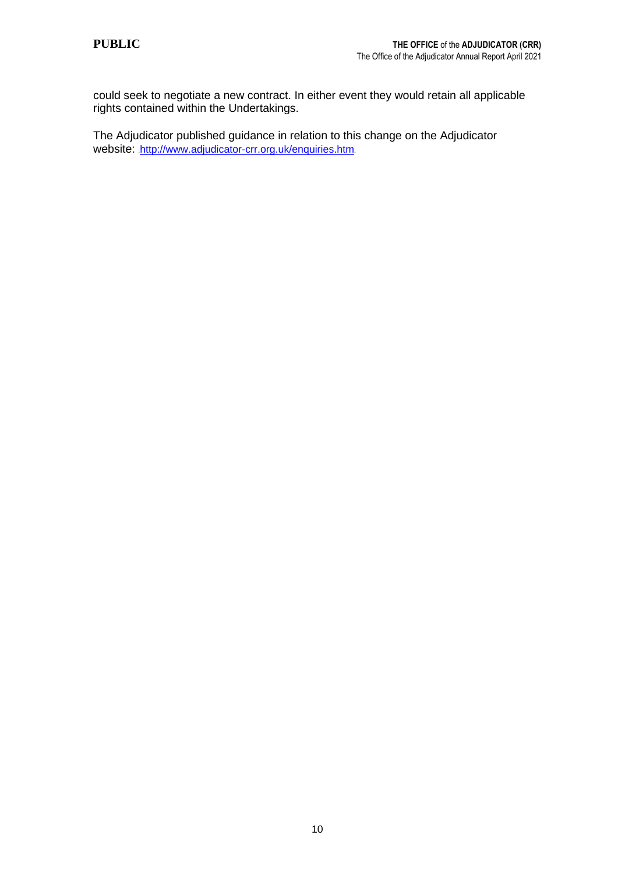could seek to negotiate a new contract. In either event they would retain all applicable rights contained within the Undertakings.

The Adjudicator published guidance in relation to this change on the Adjudicator website: <http://www.adjudicator-crr.org.uk/enquiries.htm>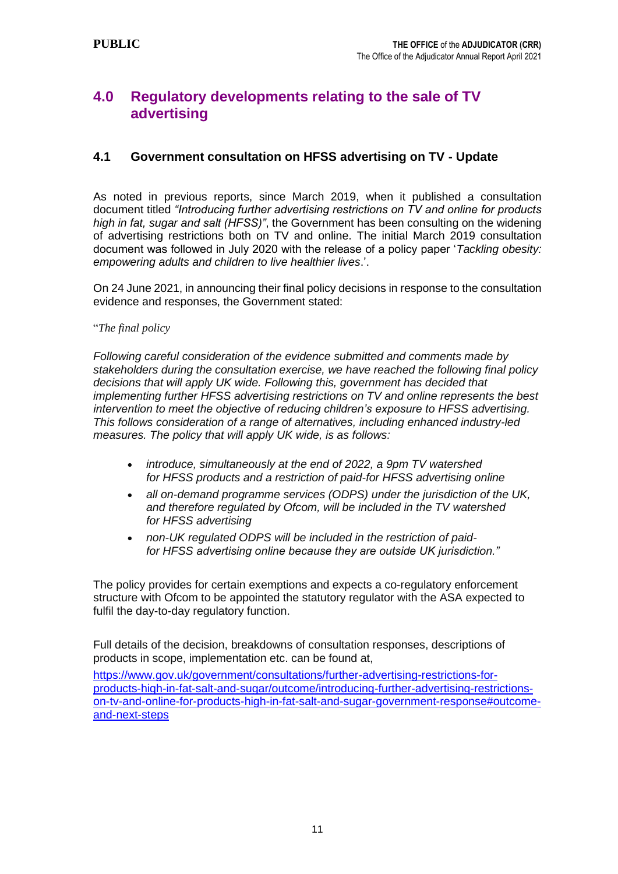## **4.0 Regulatory developments relating to the sale of TV advertising**

#### **4.1 Government consultation on HFSS advertising on TV - Update**

As noted in previous reports, since March 2019, when it published a consultation document titled *"Introducing further advertising restrictions on TV and online for products high in fat, sugar and salt (HFSS)"*, the Government has been consulting on the widening of advertising restrictions both on TV and online. The initial March 2019 consultation document was followed in July 2020 with the release of a policy paper '*Tackling obesity: empowering adults and children to live healthier lives*.'.

On 24 June 2021, in announcing their final policy decisions in response to the consultation evidence and responses, the Government stated:

#### "*The final policy*

*Following careful consideration of the evidence submitted and comments made by stakeholders during the consultation exercise, we have reached the following final policy decisions that will apply UK wide. Following this, government has decided that implementing further HFSS advertising restrictions on TV and online represents the best intervention to meet the objective of reducing children's exposure to HFSS advertising. This follows consideration of a range of alternatives, including enhanced industry-led measures. The policy that will apply UK wide, is as follows:*

- *introduce, simultaneously at the end of 2022, a 9pm TV watershed for HFSS products and a restriction of paid-for HFSS advertising online*
- *all on-demand programme services (ODPS) under the jurisdiction of the UK, and therefore regulated by Ofcom, will be included in the TV watershed for HFSS advertising*
- *non-UK regulated ODPS will be included in the restriction of paidfor HFSS advertising online because they are outside UK jurisdiction."*

The policy provides for certain exemptions and expects a co-regulatory enforcement structure with Ofcom to be appointed the statutory regulator with the ASA expected to fulfil the day-to-day regulatory function.

Full details of the decision, breakdowns of consultation responses, descriptions of products in scope, implementation etc. can be found at,

[https://www.gov.uk/government/consultations/further-advertising-restrictions-for](https://www.gov.uk/government/consultations/further-advertising-restrictions-for-products-high-in-fat-salt-and-sugar/outcome/introducing-further-advertising-restrictions-on-tv-and-online-for-products-high-in-fat-salt-and-sugar-government-response#outcome-and-next-steps)[products-high-in-fat-salt-and-sugar/outcome/introducing-further-advertising-restrictions](https://www.gov.uk/government/consultations/further-advertising-restrictions-for-products-high-in-fat-salt-and-sugar/outcome/introducing-further-advertising-restrictions-on-tv-and-online-for-products-high-in-fat-salt-and-sugar-government-response#outcome-and-next-steps)[on-tv-and-online-for-products-high-in-fat-salt-and-sugar-government-response#outcome](https://www.gov.uk/government/consultations/further-advertising-restrictions-for-products-high-in-fat-salt-and-sugar/outcome/introducing-further-advertising-restrictions-on-tv-and-online-for-products-high-in-fat-salt-and-sugar-government-response#outcome-and-next-steps)[and-next-steps](https://www.gov.uk/government/consultations/further-advertising-restrictions-for-products-high-in-fat-salt-and-sugar/outcome/introducing-further-advertising-restrictions-on-tv-and-online-for-products-high-in-fat-salt-and-sugar-government-response#outcome-and-next-steps)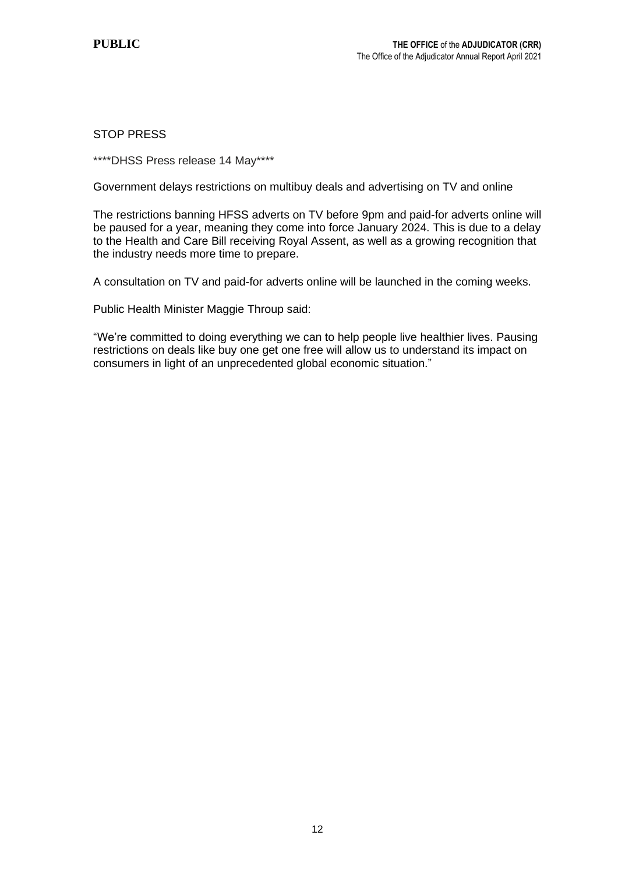#### STOP PRESS

\*\*\*\*DHSS Press release 14 May\*\*\*\*

Government delays restrictions on multibuy deals and advertising on TV and online

The restrictions banning HFSS adverts on TV before 9pm and paid-for adverts online will be paused for a year, meaning they come into force January 2024. This is due to a delay to the Health and Care Bill receiving Royal Assent, as well as a growing recognition that the industry needs more time to prepare.

A consultation on TV and paid-for adverts online will be launched in the coming weeks.

Public Health Minister Maggie Throup said:

"We're committed to doing everything we can to help people live healthier lives. Pausing restrictions on deals like buy one get one free will allow us to understand its impact on consumers in light of an unprecedented global economic situation."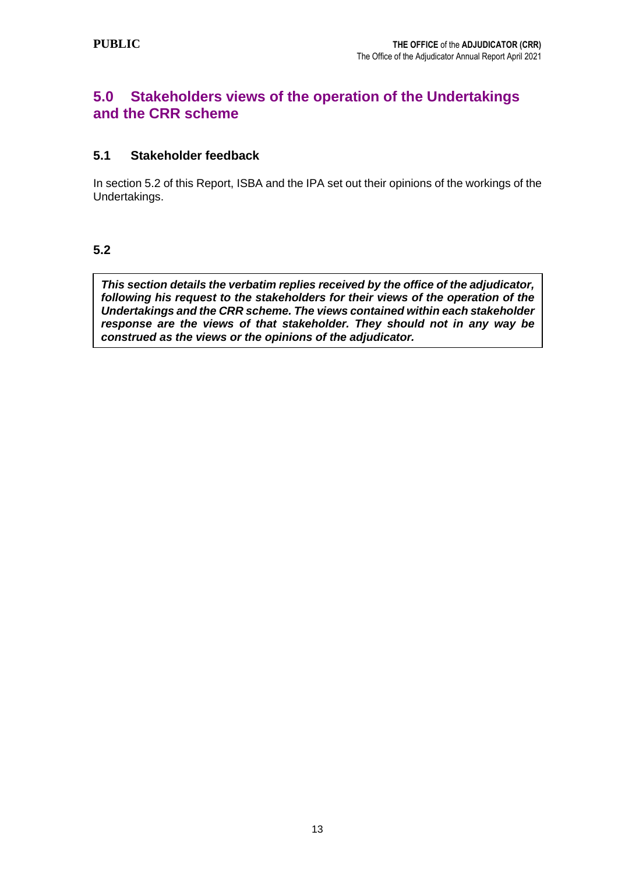## **5.0 Stakeholders views of the operation of the Undertakings and the CRR scheme**

### **5.1 Stakeholder feedback**

In section 5.2 of this Report, ISBA and the IPA set out their opinions of the workings of the Undertakings.

#### **5.2**

*This section details the verbatim replies received by the office of the adjudicator, following his request to the stakeholders for their views of the operation of the Undertakings and the CRR scheme. The views contained within each stakeholder response are the views of that stakeholder. They should not in any way be construed as the views or the opinions of the adjudicator.*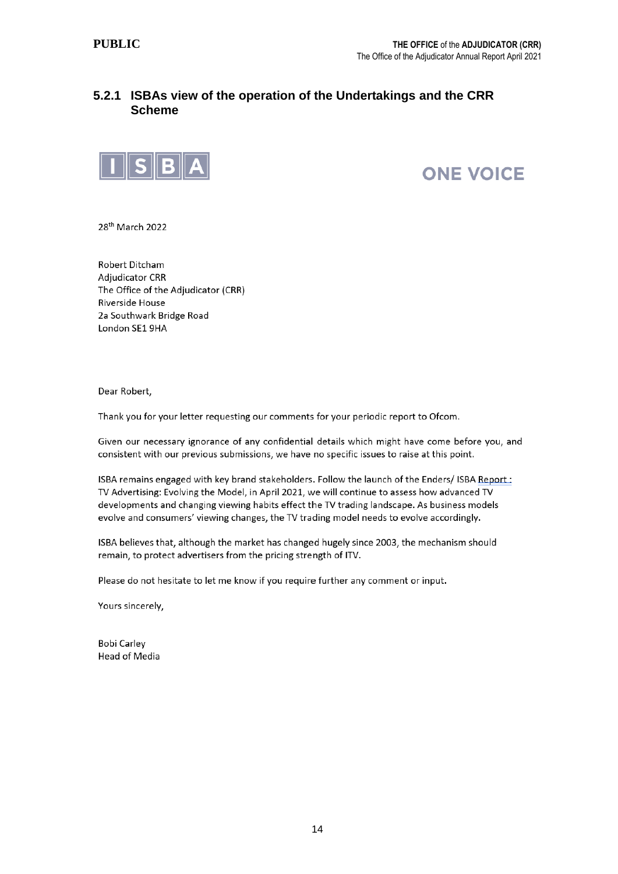#### **5.2.1 ISBAs view of the operation of the Undertakings and the CRR Scheme**



**ONE VOICE** 

28<sup>th</sup> March 2022

Robert Ditcham **Adjudicator CRR** The Office of the Adjudicator (CRR) Riverside House 2a Southwark Bridge Road London SE1 9HA

Dear Robert,

Thank you for your letter requesting our comments for your periodic report to Ofcom.

Given our necessary ignorance of any confidential details which might have come before you, and consistent with our previous submissions, we have no specific issues to raise at this point.

ISBA remains engaged with key brand stakeholders. Follow the launch of the Enders/ ISBA Report: TV Advertising: Evolving the Model, in April 2021, we will continue to assess how advanced TV developments and changing viewing habits effect the TV trading landscape. As business models evolve and consumers' viewing changes, the TV trading model needs to evolve accordingly.

ISBA believes that, although the market has changed hugely since 2003, the mechanism should remain, to protect advertisers from the pricing strength of ITV.

Please do not hesitate to let me know if you require further any comment or input.

Yours sincerely,

**Bobi Carley Head of Media**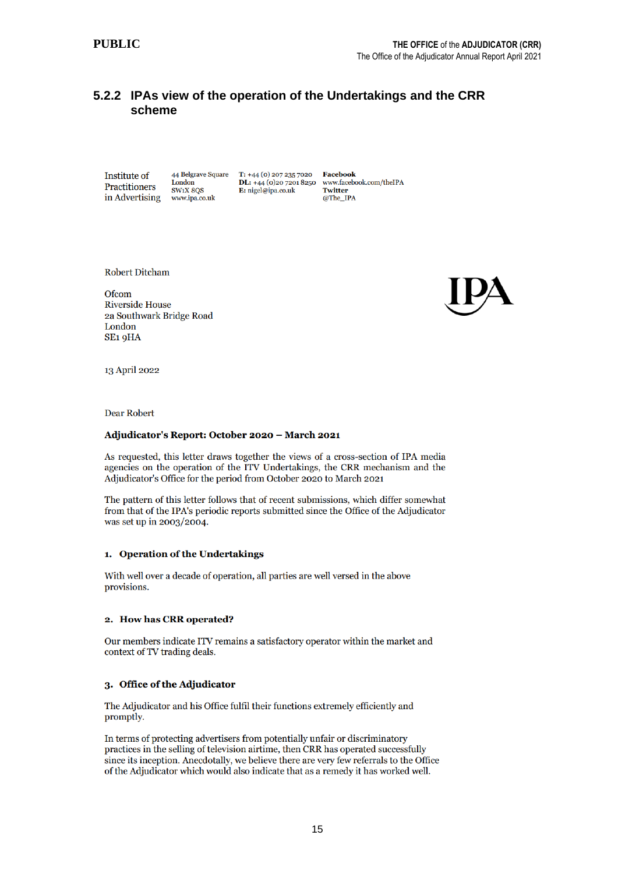#### **5.2.2 IPAs view of the operation of the Undertakings and the CRR scheme**

**Institute of** Practitioners in Advertising

44 Belgrave Square London<br>SW1X 8OS www.ipa.co.uk

 $T: +44(0)$  207 235 7020 **DL:** +44 (0)20 7201 8250<br>**E:** nigel@ipa.co.uk

**Facebook** www.facebook.com/theIPA **Twitter** @The\_IPA

**Robert Ditcham** 

Ofcom **Riverside House** 2a Southwark Bridge Road London SE<sub>1</sub> 9HA



13 April 2022

**Dear Robert** 

#### Adjudicator's Report: October 2020 - March 2021

As requested, this letter draws together the views of a cross-section of IPA media agencies on the operation of the ITV Undertakings, the CRR mechanism and the Adjudicator's Office for the period from October 2020 to March 2021

The pattern of this letter follows that of recent submissions, which differ somewhat from that of the IPA's periodic reports submitted since the Office of the Adjudicator was set up in 2003/2004.

#### 1. Operation of the Undertakings

With well over a decade of operation, all parties are well versed in the above provisions.

#### 2. How has CRR operated?

Our members indicate ITV remains a satisfactory operator within the market and context of TV trading deals.

#### 3. Office of the Adjudicator

The Adjudicator and his Office fulfil their functions extremely efficiently and promptly.

In terms of protecting advertisers from potentially unfair or discriminatory practices in the selling of television airtime, then CRR has operated successfully since its inception. Anecdotally, we believe there are very few referrals to the Office of the Adjudicator which would also indicate that as a remedy it has worked well.